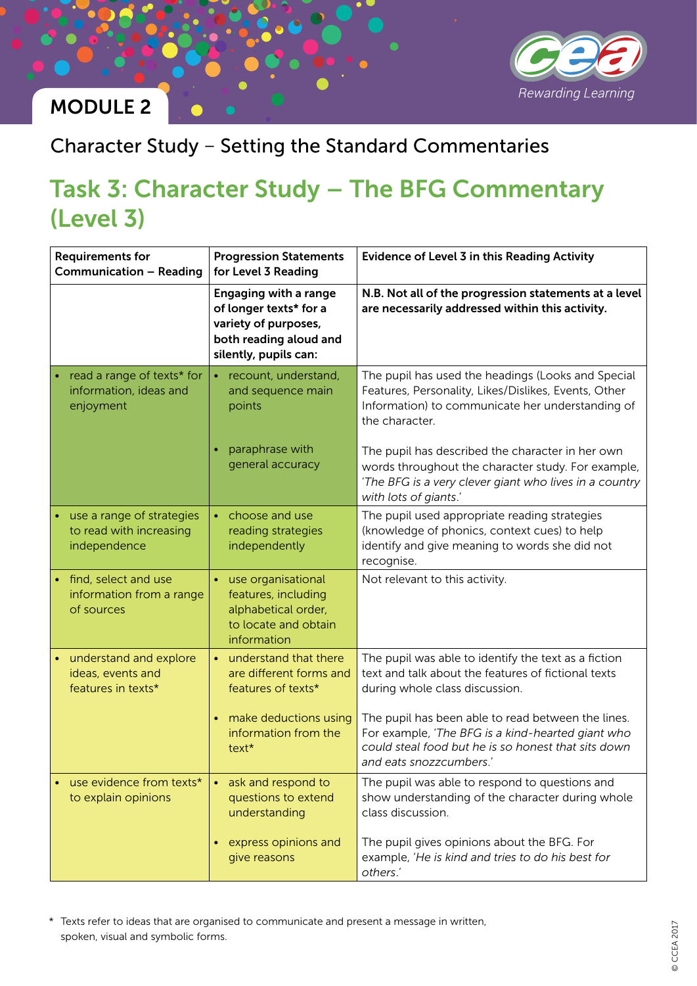

#### Character Study – Setting the Standard Commentaries

# Task 3: Character Study – The BFG Commentary (Level 3)

| <b>Requirements for</b><br><b>Communication - Reading</b>            | <b>Progression Statements</b><br>for Level 3 Reading                                                                              | Evidence of Level 3 in this Reading Activity                                                                                                                                              |
|----------------------------------------------------------------------|-----------------------------------------------------------------------------------------------------------------------------------|-------------------------------------------------------------------------------------------------------------------------------------------------------------------------------------------|
|                                                                      | <b>Engaging with a range</b><br>of longer texts* for a<br>variety of purposes,<br>both reading aloud and<br>silently, pupils can: | N.B. Not all of the progression statements at a level<br>are necessarily addressed within this activity.                                                                                  |
| read a range of texts* for<br>information, ideas and<br>enjoyment    | recount, understand,<br>and sequence main<br>points                                                                               | The pupil has used the headings (Looks and Special<br>Features, Personality, Likes/Dislikes, Events, Other<br>Information) to communicate her understanding of<br>the character.          |
|                                                                      | paraphrase with<br>general accuracy                                                                                               | The pupil has described the character in her own<br>words throughout the character study. For example,<br>'The BFG is a very clever giant who lives in a country<br>with lots of giants.' |
| use a range of strategies<br>to read with increasing<br>independence | choose and use<br>reading strategies<br>independently                                                                             | The pupil used appropriate reading strategies<br>(knowledge of phonics, context cues) to help<br>identify and give meaning to words she did not<br>recognise.                             |
| find, select and use<br>information from a range<br>of sources       | use organisational<br>$\bullet$<br>features, including<br>alphabetical order,<br>to locate and obtain<br>information              | Not relevant to this activity.                                                                                                                                                            |
| • understand and explore<br>ideas, events and<br>features in texts*  | • understand that there<br>are different forms and<br>features of texts*                                                          | The pupil was able to identify the text as a fiction<br>text and talk about the features of fictional texts<br>during whole class discussion.                                             |
|                                                                      | make deductions using<br>information from the<br>text*                                                                            | The pupil has been able to read between the lines.<br>For example, 'The BFG is a kind-hearted giant who<br>could steal food but he is so honest that sits down<br>and eats snozzcumbers.' |
| use evidence from texts*<br>to explain opinions                      | ask and respond to<br>questions to extend<br>understanding                                                                        | The pupil was able to respond to questions and<br>show understanding of the character during whole<br>class discussion.                                                                   |
|                                                                      | express opinions and<br>give reasons                                                                                              | The pupil gives opinions about the BFG. For<br>example, 'He is kind and tries to do his best for<br>others.'                                                                              |

\* Texts refer to ideas that are organised to communicate and present a message in written, spoken, visual and symbolic forms.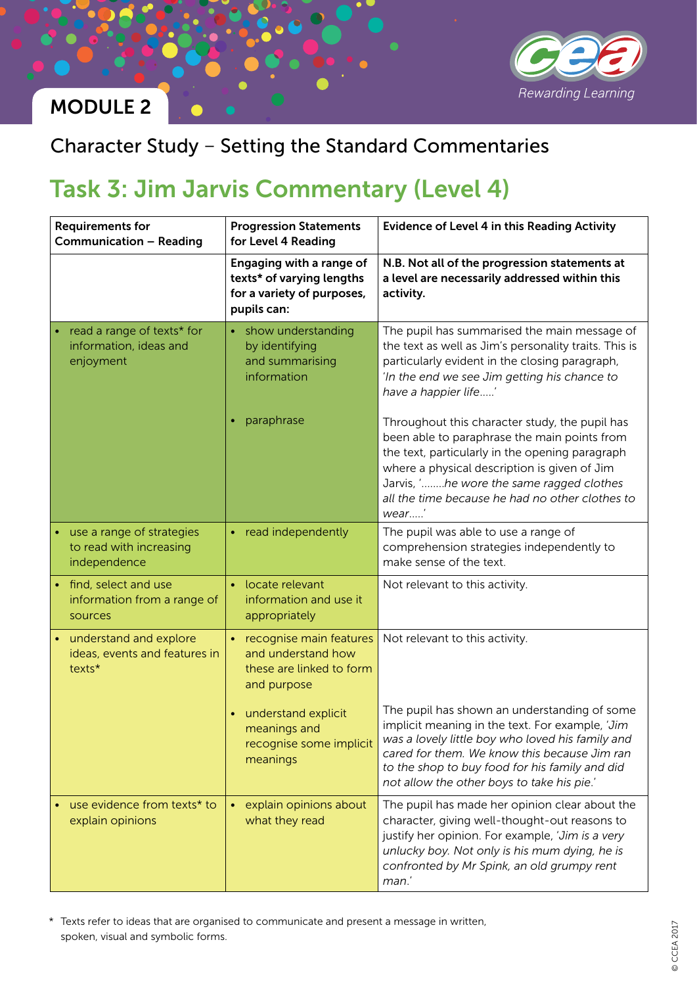

#### Character Study – Setting the Standard Commentaries

## Task 3: Jim Jarvis Commentary (Level 4)

| <b>Requirements for</b><br><b>Communication - Reading</b>            | <b>Progression Statements</b><br>for Level 4 Reading                                                    | <b>Evidence of Level 4 in this Reading Activity</b>                                                                                                                                                                                                                                                      |
|----------------------------------------------------------------------|---------------------------------------------------------------------------------------------------------|----------------------------------------------------------------------------------------------------------------------------------------------------------------------------------------------------------------------------------------------------------------------------------------------------------|
|                                                                      | Engaging with a range of<br>texts* of varying lengths<br>for a variety of purposes,<br>pupils can:      | N.B. Not all of the progression statements at<br>a level are necessarily addressed within this<br>activity.                                                                                                                                                                                              |
| read a range of texts* for<br>information, ideas and<br>enjoyment    | show understanding<br>by identifying<br>and summarising<br>information                                  | The pupil has summarised the main message of<br>the text as well as Jim's personality traits. This is<br>particularly evident in the closing paragraph,<br>'In the end we see Jim getting his chance to<br>have a happier life'                                                                          |
|                                                                      | paraphrase                                                                                              | Throughout this character study, the pupil has<br>been able to paraphrase the main points from<br>the text, particularly in the opening paragraph<br>where a physical description is given of Jim<br>Jarvis, 'he wore the same ragged clothes<br>all the time because he had no other clothes to<br>wear |
| use a range of strategies<br>to read with increasing<br>independence | • read independently                                                                                    | The pupil was able to use a range of<br>comprehension strategies independently to<br>make sense of the text.                                                                                                                                                                                             |
| • find, select and use<br>information from a range of<br>sources     | • locate relevant<br>information and use it<br>appropriately                                            | Not relevant to this activity.                                                                                                                                                                                                                                                                           |
| • understand and explore<br>ideas, events and features in<br>texts*  | recognise main features<br>$\bullet$ .<br>and understand how<br>these are linked to form<br>and purpose | Not relevant to this activity.                                                                                                                                                                                                                                                                           |
|                                                                      | understand explicit<br>meanings and<br>recognise some implicit<br>meanings                              | The pupil has shown an understanding of some<br>implicit meaning in the text. For example, 'Jim<br>was a lovely little boy who loved his family and<br>cared for them. We know this because Jim ran<br>to the shop to buy food for his family and did<br>not allow the other boys to take his pie.'      |
| use evidence from texts* to<br>explain opinions                      | explain opinions about<br>what they read                                                                | The pupil has made her opinion clear about the<br>character, giving well-thought-out reasons to<br>justify her opinion. For example, 'Jim is a very<br>unlucky boy. Not only is his mum dying, he is<br>confronted by Mr Spink, an old grumpy rent<br>man.'                                              |

\* Texts refer to ideas that are organised to communicate and present a message in written, spoken, visual and symbolic forms.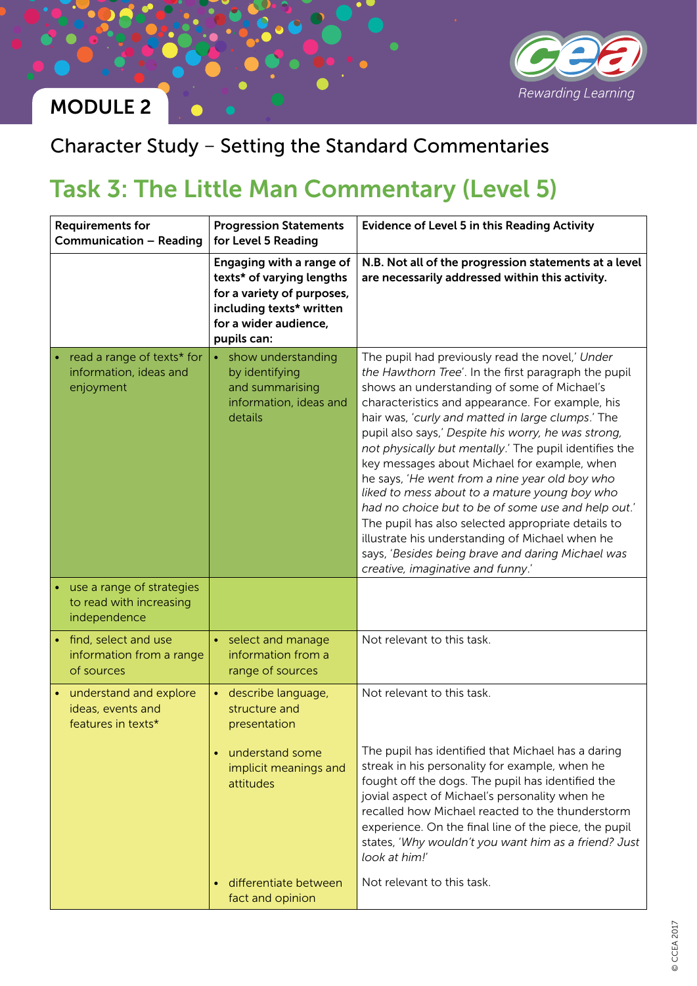

### Character Study – Setting the Standard Commentaries

# Task 3: The Little Man Commentary (Level 5)

| <b>Requirements for</b><br><b>Communication - Reading</b>            | <b>Progression Statements</b><br>for Level 5 Reading                                                                                                    | <b>Evidence of Level 5 in this Reading Activity</b>                                                                                                                                                                                                                                                                                                                                                                                                                                                                                                                                                                                                                                                                                                                                          |
|----------------------------------------------------------------------|---------------------------------------------------------------------------------------------------------------------------------------------------------|----------------------------------------------------------------------------------------------------------------------------------------------------------------------------------------------------------------------------------------------------------------------------------------------------------------------------------------------------------------------------------------------------------------------------------------------------------------------------------------------------------------------------------------------------------------------------------------------------------------------------------------------------------------------------------------------------------------------------------------------------------------------------------------------|
|                                                                      | Engaging with a range of<br>texts* of varying lengths<br>for a variety of purposes,<br>including texts* written<br>for a wider audience,<br>pupils can: | N.B. Not all of the progression statements at a level<br>are necessarily addressed within this activity.                                                                                                                                                                                                                                                                                                                                                                                                                                                                                                                                                                                                                                                                                     |
| read a range of texts* for<br>information, ideas and<br>enjoyment    | • show understanding<br>by identifying<br>and summarising<br>information, ideas and<br>details                                                          | The pupil had previously read the novel,' Under<br>the Hawthorn Tree'. In the first paragraph the pupil<br>shows an understanding of some of Michael's<br>characteristics and appearance. For example, his<br>hair was, 'curly and matted in large clumps.' The<br>pupil also says,' Despite his worry, he was strong,<br>not physically but mentally.' The pupil identifies the<br>key messages about Michael for example, when<br>he says, 'He went from a nine year old boy who<br>liked to mess about to a mature young boy who<br>had no choice but to be of some use and help out.'<br>The pupil has also selected appropriate details to<br>illustrate his understanding of Michael when he<br>says, 'Besides being brave and daring Michael was<br>creative, imaginative and funny.' |
| use a range of strategies<br>to read with increasing<br>independence |                                                                                                                                                         |                                                                                                                                                                                                                                                                                                                                                                                                                                                                                                                                                                                                                                                                                                                                                                                              |
| find, select and use<br>information from a range<br>of sources       | select and manage<br>$\bullet$ .<br>information from a<br>range of sources                                                                              | Not relevant to this task.                                                                                                                                                                                                                                                                                                                                                                                                                                                                                                                                                                                                                                                                                                                                                                   |
| • understand and explore<br>ideas, events and<br>features in texts*  | describe language,<br>structure and<br>presentation<br>understand some<br>implicit meanings and<br>attitudes                                            | Not relevant to this task.<br>The pupil has identified that Michael has a daring<br>streak in his personality for example, when he<br>fought off the dogs. The pupil has identified the<br>jovial aspect of Michael's personality when he<br>recalled how Michael reacted to the thunderstorm<br>experience. On the final line of the piece, the pupil<br>states, 'Why wouldn't you want him as a friend? Just                                                                                                                                                                                                                                                                                                                                                                               |
|                                                                      | differentiate between<br>fact and opinion                                                                                                               | look at him!'<br>Not relevant to this task.                                                                                                                                                                                                                                                                                                                                                                                                                                                                                                                                                                                                                                                                                                                                                  |